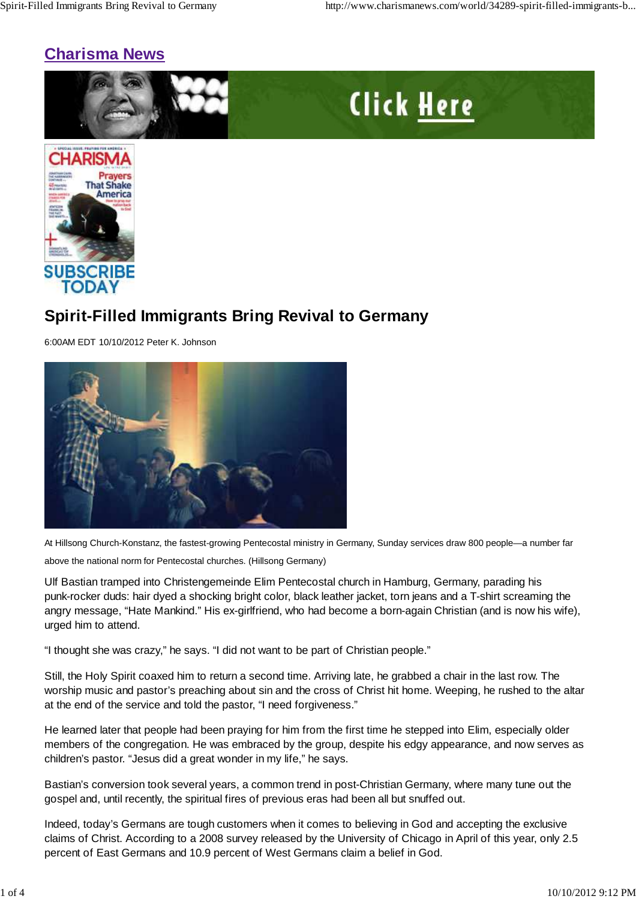# **Charisma News**





# **Spirit-Filled Immigrants Bring Revival to Germany**

6:00AM EDT 10/10/2012 Peter K. Johnson



At Hillsong Church-Konstanz, the fastest-growing Pentecostal ministry in Germany, Sunday services draw 800 people—a number far

above the national norm for Pentecostal churches. (Hillsong Germany)

Ulf Bastian tramped into Christengemeinde Elim Pentecostal church in Hamburg, Germany, parading his punk-rocker duds: hair dyed a shocking bright color, black leather jacket, torn jeans and a T-shirt screaming the angry message, "Hate Mankind." His ex-girlfriend, who had become a born-again Christian (and is now his wife), urged him to attend.

"I thought she was crazy," he says. "I did not want to be part of Christian people."

Still, the Holy Spirit coaxed him to return a second time. Arriving late, he grabbed a chair in the last row. The worship music and pastor's preaching about sin and the cross of Christ hit home. Weeping, he rushed to the altar at the end of the service and told the pastor, "I need forgiveness."

He learned later that people had been praying for him from the first time he stepped into Elim, especially older members of the congregation. He was embraced by the group, despite his edgy appearance, and now serves as children's pastor. "Jesus did a great wonder in my life," he says.

Bastian's conversion took several years, a common trend in post-Christian Germany, where many tune out the gospel and, until recently, the spiritual fires of previous eras had been all but snuffed out.

Indeed, today's Germans are tough customers when it comes to believing in God and accepting the exclusive claims of Christ. According to a 2008 survey released by the University of Chicago in April of this year, only 2.5 percent of East Germans and 10.9 percent of West Germans claim a belief in God.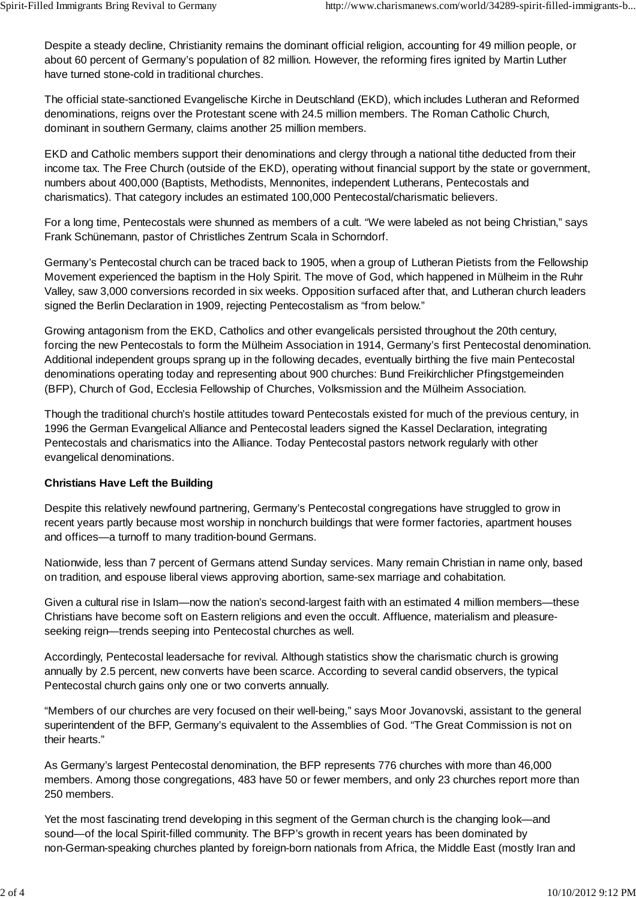Despite a steady decline, Christianity remains the dominant official religion, accounting for 49 million people, or about 60 percent of Germany's population of 82 million. However, the reforming fires ignited by Martin Luther have turned stone-cold in traditional churches.

The official state-sanctioned Evangelische Kirche in Deutschland (EKD), which includes Lutheran and Reformed denominations, reigns over the Protestant scene with 24.5 million members. The Roman Catholic Church, dominant in southern Germany, claims another 25 million members.

EKD and Catholic members support their denominations and clergy through a national tithe deducted from their income tax. The Free Church (outside of the EKD), operating without financial support by the state or government, numbers about 400,000 (Baptists, Methodists, Mennonites, independent Lutherans, Pentecostals and charismatics). That category includes an estimated 100,000 Pentecostal/charismatic believers.

For a long time, Pentecostals were shunned as members of a cult. "We were labeled as not being Christian," says Frank Schünemann, pastor of Christliches Zentrum Scala in Schorndorf.

Germany's Pentecostal church can be traced back to 1905, when a group of Lutheran Pietists from the Fellowship Movement experienced the baptism in the Holy Spirit. The move of God, which happened in Mülheim in the Ruhr Valley, saw 3,000 conversions recorded in six weeks. Opposition surfaced after that, and Lutheran church leaders signed the Berlin Declaration in 1909, rejecting Pentecostalism as "from below."

Growing antagonism from the EKD, Catholics and other evangelicals persisted throughout the 20th century, forcing the new Pentecostals to form the Mülheim Association in 1914, Germany's first Pentecostal denomination. Additional independent groups sprang up in the following decades, eventually birthing the five main Pentecostal denominations operating today and representing about 900 churches: Bund Freikirchlicher Pfingstgemeinden (BFP), Church of God, Ecclesia Fellowship of Churches, Volksmission and the Mülheim Association.

Though the traditional church's hostile attitudes toward Pentecostals existed for much of the previous century, in 1996 the German Evangelical Alliance and Pentecostal leaders signed the Kassel Declaration, integrating Pentecostals and charismatics into the Alliance. Today Pentecostal pastors network regularly with other evangelical denominations.

### **Christians Have Left the Building**

Despite this relatively newfound partnering, Germany's Pentecostal congregations have struggled to grow in recent years partly because most worship in nonchurch buildings that were former factories, apartment houses and offices—a turnoff to many tradition-bound Germans.

Nationwide, less than 7 percent of Germans attend Sunday services. Many remain Christian in name only, based on tradition, and espouse liberal views approving abortion, same-sex marriage and cohabitation.

Given a cultural rise in Islam—now the nation's second-largest faith with an estimated 4 million members—these Christians have become soft on Eastern religions and even the occult. Affluence, materialism and pleasureseeking reign—trends seeping into Pentecostal churches as well.

Accordingly, Pentecostal leadersache for revival. Although statistics show the charismatic church is growing annually by 2.5 percent, new converts have been scarce. According to several candid observers, the typical Pentecostal church gains only one or two converts annually.

"Members of our churches are very focused on their well-being," says Moor Jovanovski, assistant to the general superintendent of the BFP, Germany's equivalent to the Assemblies of God. "The Great Commission is not on their hearts."

As Germany's largest Pentecostal denomination, the BFP represents 776 churches with more than 46,000 members. Among those congregations, 483 have 50 or fewer members, and only 23 churches report more than 250 members.

Yet the most fascinating trend developing in this segment of the German church is the changing look—and sound—of the local Spirit-filled community. The BFP's growth in recent years has been dominated by non-German-speaking churches planted by foreign-born nationals from Africa, the Middle East (mostly Iran and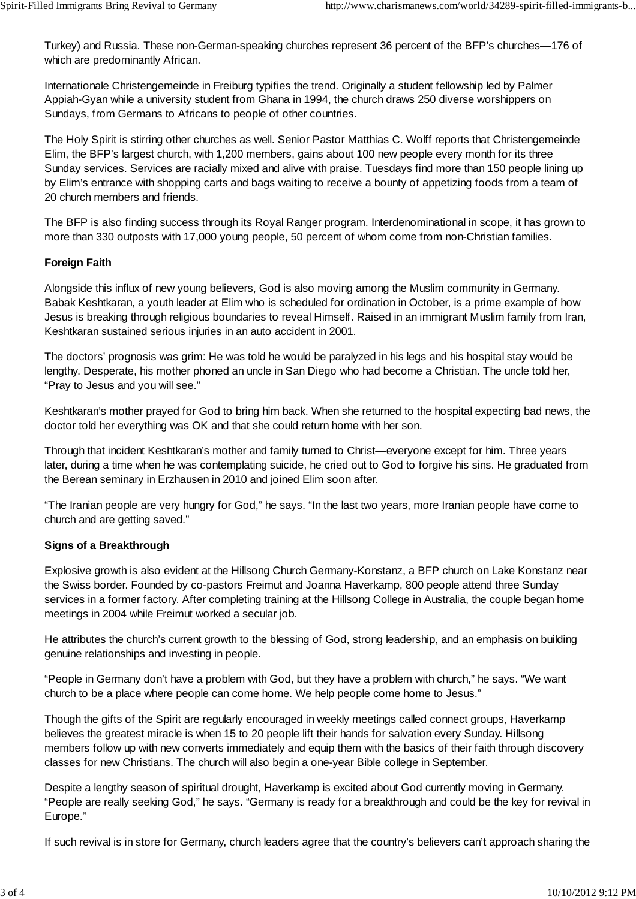Turkey) and Russia. These non-German-speaking churches represent 36 percent of the BFP's churches—176 of which are predominantly African.

Internationale Christengemeinde in Freiburg typifies the trend. Originally a student fellowship led by Palmer Appiah-Gyan while a university student from Ghana in 1994, the church draws 250 diverse worshippers on Sundays, from Germans to Africans to people of other countries.

The Holy Spirit is stirring other churches as well. Senior Pastor Matthias C. Wolff reports that Christengemeinde Elim, the BFP's largest church, with 1,200 members, gains about 100 new people every month for its three Sunday services. Services are racially mixed and alive with praise. Tuesdays find more than 150 people lining up by Elim's entrance with shopping carts and bags waiting to receive a bounty of appetizing foods from a team of 20 church members and friends.

The BFP is also finding success through its Royal Ranger program. Interdenominational in scope, it has grown to more than 330 outposts with 17,000 young people, 50 percent of whom come from non-Christian families.

### **Foreign Faith**

Alongside this influx of new young believers, God is also moving among the Muslim community in Germany. Babak Keshtkaran, a youth leader at Elim who is scheduled for ordination in October, is a prime example of how Jesus is breaking through religious boundaries to reveal Himself. Raised in an immigrant Muslim family from Iran, Keshtkaran sustained serious injuries in an auto accident in 2001.

The doctors' prognosis was grim: He was told he would be paralyzed in his legs and his hospital stay would be lengthy. Desperate, his mother phoned an uncle in San Diego who had become a Christian. The uncle told her, "Pray to Jesus and you will see."

Keshtkaran's mother prayed for God to bring him back. When she returned to the hospital expecting bad news, the doctor told her everything was OK and that she could return home with her son.

Through that incident Keshtkaran's mother and family turned to Christ—everyone except for him. Three years later, during a time when he was contemplating suicide, he cried out to God to forgive his sins. He graduated from the Berean seminary in Erzhausen in 2010 and joined Elim soon after.

"The Iranian people are very hungry for God," he says. "In the last two years, more Iranian people have come to church and are getting saved."

### **Signs of a Breakthrough**

Explosive growth is also evident at the Hillsong Church Germany-Konstanz, a BFP church on Lake Konstanz near the Swiss border. Founded by co-pastors Freimut and Joanna Haverkamp, 800 people attend three Sunday services in a former factory. After completing training at the Hillsong College in Australia, the couple began home meetings in 2004 while Freimut worked a secular job.

He attributes the church's current growth to the blessing of God, strong leadership, and an emphasis on building genuine relationships and investing in people.

"People in Germany don't have a problem with God, but they have a problem with church," he says. "We want church to be a place where people can come home. We help people come home to Jesus."

Though the gifts of the Spirit are regularly encouraged in weekly meetings called connect groups, Haverkamp believes the greatest miracle is when 15 to 20 people lift their hands for salvation every Sunday. Hillsong members follow up with new converts immediately and equip them with the basics of their faith through discovery classes for new Christians. The church will also begin a one-year Bible college in September.

Despite a lengthy season of spiritual drought, Haverkamp is excited about God currently moving in Germany. "People are really seeking God," he says. "Germany is ready for a breakthrough and could be the key for revival in Europe."

If such revival is in store for Germany, church leaders agree that the country's believers can't approach sharing the